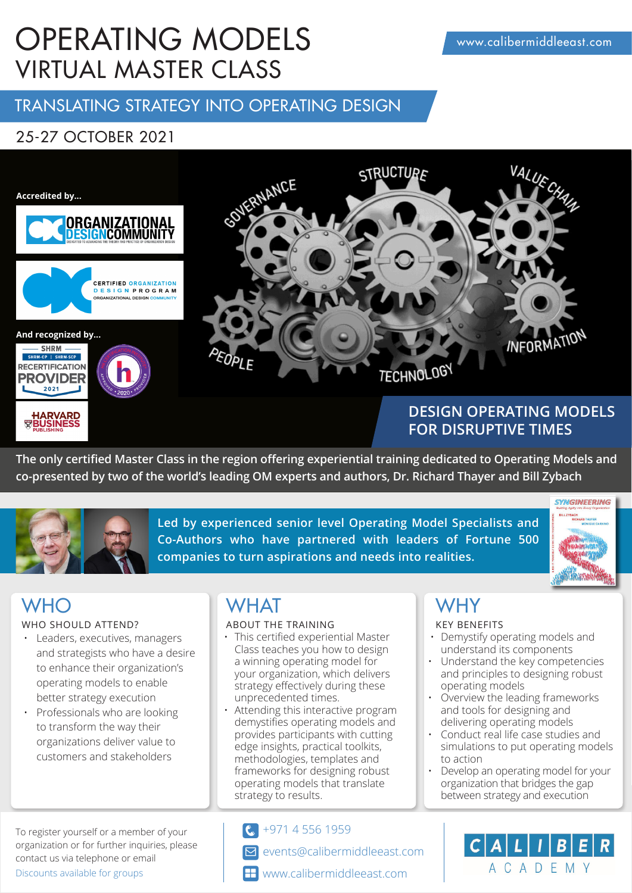# OPERATING MODELS VIRTUAL MASTER CLASS

## TRANSLATING STRATEGY INTO OPERATING DESIGN

## 25-27 OCTOBER 2021



## **DESIGN OPERATING MODELS FOR DISRUPTIVE TIMES**

**The only certified Master Class in the region offering experiential training dedicated to Operating Models and co-presented by two of the world's leading OM experts and authors, Dr. Richard Thayer and Bill Zybach**



**Led by experienced senior level Operating Model Specialists and Co-Authors who have partnered with leaders of Fortune 500 companies to turn aspirations and needs into realities.** 



**HARVARD**<br>BUSINESS

### WHO SHOULD ATTEND?

- Leaders, executives, managers and strategists who have a desire to enhance their organization's operating models to enable better strategy execution
- Professionals who are looking to transform the way their organizations deliver value to customers and stakeholders

### To register yourself or a member of your organization or for further inquiries, please contact us via telephone or email Discounts available for groups

## WHO WHAT WHY

### ABOUT THE TRAINING KEY BENEFITS

- This certified experiential Master Class teaches you how to design a winning operating model for your organization, which delivers strategy effectively during these unprecedented times.
- Attending this interactive program demystifies operating models and provides participants with cutting edge insights, practical toolkits, methodologies, templates and frameworks for designing robust operating models that translate strategy to results.

+971 4 556 1959  $\epsilon$ 

- events@calibermiddleeast.com M
- **H** www.calibermiddleeast.com

- Demystify operating models and understand its components
- Understand the key competencies and principles to designing robust operating models
- Overview the leading frameworks and tools for designing and delivering operating models
- Conduct real life case studies and simulations to put operating models to action
- Develop an operating model for your organization that bridges the gap between strategy and execution